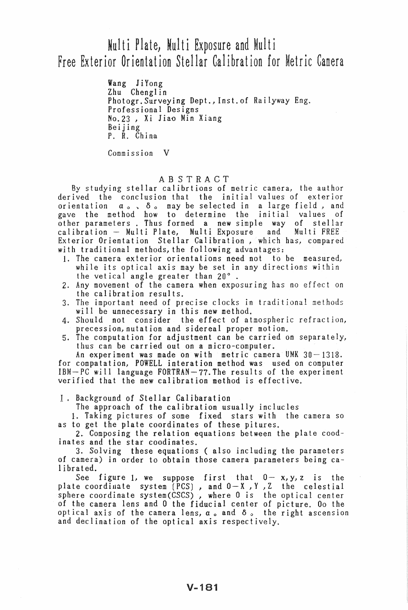# Multi Plate, Multi Exposure and Multi Free Exterior Orientation Stellar Calibration for Metric Camera

Wang JiYong Zhu Chenglin Photogr.Surveying Dept., lnst.of Railyway Eng. Professional Designs No.23 , Xi JiaQ Min Xiang Beijing P. R. China

Commission V

## ABSTRACT

By studying stellar calibrtions of metric camera, the author derived the conclusion that the initial values of exterior orientation  $\alpha_{o}$ ,  $\delta_{o}$  may be selected in a large field, and gave the method how to determine the initial values of other parameters. Thus formed a new simple way of stellar calibration - Multi Plate, Multi Exposure and Multi FREE Exterior Orientation Stellar Calibration, which has, compared with traditional methods, the following advantages:

- 1. The camera exterior orientations need not to be measured, while its optical axis may be set in any directions within the vetical angle greater than  $20^{\circ}$ .
- 2. Any movement of the camera when exposuring has no effect on the calibration results.
- 3. The important need of precise clocks in traditional methods will be unnecessary in this new method.
- 4. Should not consider the effect of atmospheric refraction, precession,nutation and sidereal proper motion.
- 5. The computation for adjustment can be carried on separately, thus can be carried out on a micro-computer.

An experiment was made on with metric camera UMK  $30-1318$ . for compatation, POWELL interation method was used on computer IBM-PC will language FORTRAN-77. The results of the experiment verified that the new calibration method is effective.

I. Background of Stellar Calibaration

The approach of the calibration usually inclucles

1. Taking pictures of some fixed stars with the camera so as to get the plate coordinates of these pitures.

2. Composing the relation equations between the plate coodinates and the star coodinates.

3. Solving these equations ( also including the parameters of camera) in order to obtain those camera parameters being calibrated.

see figure 1, we suppose first that 0- x,y,z is the plate coordinate system  $(PCS)$ , and  $0-X$ ,  $Y$ ,  $Z$  the celestial sphere coordinate system(CSCS) , where 0 is the optical center of the camera lens and 0 the fiducial center of picture. 00 the optical axis of the camera lens,  $\alpha_o$  and  $\delta_o$  the right ascension and declination of the optical axis respectively.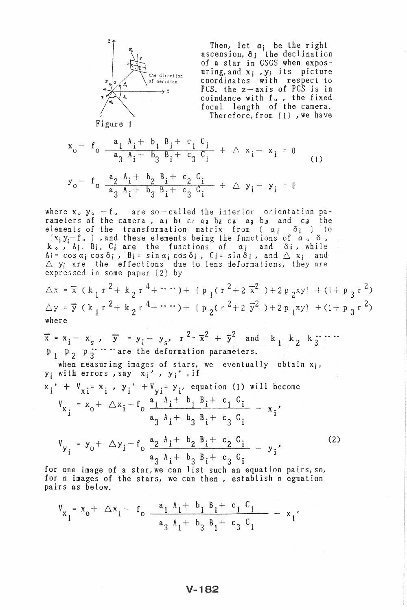

Then, let  $\alpha_j$  be the right<br>ascension,  $\delta_j$  the declination<br>of a star in CSCS when exposuring, and  $x_i$ ,  $y_i$  its picture coordinates with respect to<br>PCS, the z-axis of PCS is in coindance with  $f_{\circ}$ , the fixed focal length of the camera. Therefore, from (1), we have

Figure 1

$$
x_0 - f_0 \frac{a_1 \lambda_i + b_1 B_i + c_1 C_i}{a_3 \lambda_i + b_3 B_i + c_3 C_i} + \Delta x_i - x_i = 0
$$
 (1)

$$
y_0
$$
 -  $f_0$   $\frac{a_2}{a_3} \frac{A_1 + b_2}{A_1 + b_3} \frac{B_1 + c_2}{B_1 + c_3} \frac{C_1}{C_1} + \Delta y_1 - y_1 = 0$ 

where  $x_0$ ,  $y_0 - f_0$  are so-called the interior orientation parameters of the camera, as be craz be cz as bs and cs the elements of the transformation matrix from  $(a_i - \delta_i)$  to  $(x_i y_i - f_0)$ , and these elements being the functions of  $\alpha > \delta$ .  $k_o$ ,  $A_i$ ,  $B_i$ ,  $C_i$  are the functions of  $a_i$  and  $\delta_i$ , while<br>  $A_i = \cos a_i \cos \delta_i$ ,  $B_i = \sin a_i \cos \delta_i$ ,  $C_i = \sin \delta_i$ , and  $\triangle x_i$  and<br>  $\triangle y_i$  are the effections due to lens deformations, they are<br>
expressed in some paper (2) by

$$
\triangle x = \overline{x} (\overline{k}_1 r^2 + \overline{k}_2 r^4 + \cdots) + (\overline{p}_1 (r^2 + 2 \overline{x}^2) + 2 p_2 xy) + (1 + p_3 r^2)
$$
  
 
$$
\triangle y = \overline{y} (k_1 r^2 + \overline{k}_2 r^4 + \cdots) + (p_2 (r^2 + 2 \overline{y}^2) + 2 p_1 xy) + (1 + p_3 r^2)
$$
  
where

$$
\overline{x} = x_1 - x_S, \quad \overline{y} = y_1 - y_S, \quad r^2 = \overline{x}^2 + \overline{y}^2 \quad \text{and} \quad k_1 - k_2 - k_3 = 1
$$
\n
$$
p_1 - p_2 - p_3 = \cdots = r^2 + r^2 + \overline{y}^2 \quad \text{and} \quad k_1 - k_2 - k_3 = \cdots
$$

when measuring images of stars, we eventually obtain  $x_i$ ,  $y_i$  with errors, say  $x_i'$ ,  $y_i'$ , if

$$
x_i' + V_{xi} = x_i, y_i' + V_{yi} = y_i
$$
, equation (1) will become

$$
V_{x_i} = x_0 + \Delta x_i - f_0 \frac{a_1 A_i + b_1 B_i + c_1 C_i}{a_3 A_i + b_3 B_i + c_3 C_i} - x_i'
$$

$$
V_{y_i} = y_0 + \Delta y_i - f_0 \frac{a_2 A_i + b_2 B_i + c_2 C_i}{a_3 A_i + b_3 B_i + c_3 C_i} - y_i'
$$
 (2)

for one image of a star, we can list such an equation pairs, so, for n images of the stars, we can then, establish n eguation pairs as below.

$$
V_{x_1} = x_0 + \Delta x_1 - f_0 \frac{a_1 A_1 + b_1 B_1 + c_1 C_1}{a_3 A_1 + b_3 B_1 + c_3 C_1} - x_1'
$$

#### $V - 182$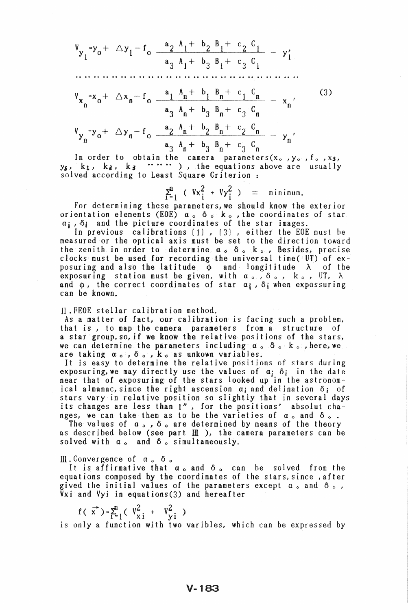$$
V_{y_1} = y_0 + \Delta y_1 - f_0 \frac{a_2 A_1 + b_2 B_1 + c_2 C_1}{a_3 A_1 + b_3 B_1 + c_3 C_1} - y_1'
$$
  
\n...  
\n
$$
V_{x_n} = x_0 + \Delta x_n - f_0 \frac{a_1 A_n + b_1 B_n + c_1 C_n}{a_3 A_n + b_3 B_n + c_3 C_n} - x_n'
$$
  
\n
$$
V_{y_n} = y_0 + \Delta y_n - f_0 \frac{a_2 A_n + b_2 B_n + c_2 C_n}{a_3 A_n + b_3 B_n + c_3 C_n} - y_n'
$$
  
\n(3)

y\$ , In order to obtain n order to obtain the camera parameters(x., y.<br>k<sub>1</sub>, k<sub>2</sub>, k<sub>3</sub>, ..., ), the equations above are solved according to Least Square Criterion: ,  $f_0$  ,  $x_3$  , usua 11 y

 $\Sigma_{i=1}^{n}$  (  $Vx_{i}^{2} + Vy_{i}^{2}$  ) = minimum.

For determining these parameters, we should know the exterior orientation elements (EOE)  $a_0$   $\delta_0$   ${\bf k}_o$  , the coordinates of star  $a_i$ ,  $\delta_i$  and the picture coordinates of the star images.

In previous calibrations  $(1)$  ,  $(3)$  , either the EOE must be measured or the optical axis must be set to the direction toward the zenith in order to determine  $a_0$   $\delta_0$   $k_0$ , Besides, precise clocks must be used for recording the universal time( UT) of exposuring and also the latitude  $\phi$  and longititude  $\lambda$  of the posuring and also the fact that  $\phi$  and foligit ridde  $\lambda$  of the exposuring station must be given, with  $\alpha_{\circ}$ ,  $\delta_{\circ}$ , k  $_{\circ}$ , UT,  $\lambda$ and  $\phi$ , the correct coordinates of star  $a_j$ ,  $\delta_j$  when expossuring can be known.

II.FEOE stellar calibration method.

As a matter of fact, our calibration is facing such a problem, that is *,* to map the camera parameters from a structure of a star group. so, if we know the relative positions of the stars, we can determine the parameters including  $\alpha$  .  $\delta$  .  $k$  ., here, we are taking  $\alpha_0$ ,  $\delta_0$ ,  $k_0$  as unkown variables.

It is easy to determine the relative positions of stars during exposuring, we may directly use the values of  $\alpha_j$   $\delta_j$  in the date near that of exposuring of the stars looked up in the astronomical almanac, since the right ascension  $\alpha_i$  and delination  $\delta_i$  of stars vary in relative position so slightly that in several days its changes are less than 1", for the positions' absolut changes, we can take them as to be the varieties of  $\alpha_o$  and  $\delta_o$ .

The values of  $\alpha$ ,  $\delta$ , are determined by means of the theory as described below (see part  $\mathbb{II}$  ), the camera parameters can be solved with  $\alpha_o$  and  $\delta_o$  simultaneously.

III. Convergence of  $\alpha_o$   $\delta_o$ 

It is affirmative that  $a_0$  and  $\delta_0$  can be solved from the equations composed by the coordinates of the stars, since, after gived the initial values of the parameters except  $a_{\circ}$  and  $\delta_{\circ}$ , Vxi and Vyi in equations(3) and hereafter

 $f(\vec{x}) = \sum_{i=1}^{n} (V_{xi}^{2} + V_{yi}^{2})$ 

is only a function with two varibles, which can be expressed by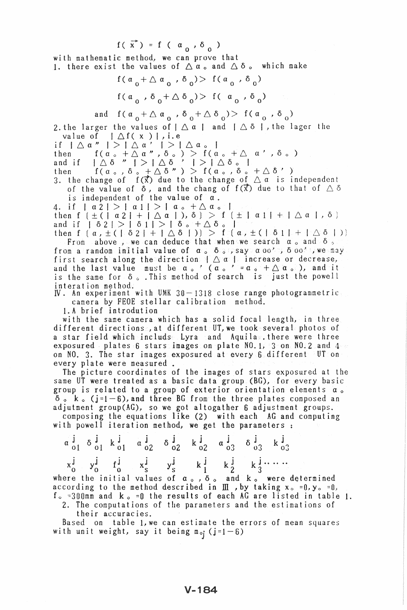$f(\vec{x}) = f(\vec{a}_0, \delta_0)$ 

with mathematic method, we can prove that 1. there exist the values of  $\triangle a$  and  $\triangle \delta$  a which make

> $f(\alpha_0 + \Delta \alpha_0^{\dagger}, \delta_0) > f(\alpha_0^{\dagger}, \delta_0^{\dagger})$  $f(\alpha_0, \delta_0 + \Delta \delta_0) > f(\alpha_0, \delta_0)$

and  $f(a_0 + \Delta a_0 , \delta_0 + \Delta \delta_0) > f(a_0 , \delta_0)$ 

2. the larger the values of  $\vert \bigtriangleup a \vert$  and  $\vert \bigtriangleup \delta \vert$ , the lager the value of  $\int \Delta f(x)$ , i.e

value of  $|\triangle \mathfrak{a}''| > |\triangle \mathfrak{a}''| > |\triangle \mathfrak{a} \circ |$ <br>
if  $|\triangle \mathfrak{a}'''| > |\triangle \mathfrak{a}''| > |\triangle \mathfrak{a} \circ |$ <br>
then  $f(\mathfrak{a} \circ + \triangle \mathfrak{a}''', \delta \circ) > f(\mathfrak{a} \circ + \triangle \mathfrak{a}'', \delta \circ)$ <br>
and if  $|\triangle \delta'''| > |\triangle \delta''| > |\triangle \delta \circ |$ <br>
then  $f(\mathfrak{a} \circ, \delta \circ + \triangle \delta''') > f(\mathfrak$ of the value of  $\delta$ , and the chang of  $f(\vec{x})$  due to that of  $\triangle \delta$ 

is independent of the value of  $a$ .

4. if  $|\alpha 2| > |\alpha 1| > |\alpha_0 + \Delta \alpha_0|$ <br>then  $f(\pm (|\alpha 2| + |\Delta \alpha|)), \delta) > f(\pm |\alpha 1| + |\Delta \alpha|, \delta)$ <br>and if  $|\delta 2| > |\delta 1| > |\delta_0 + \Delta \delta_0|$ <br>then  $f(\alpha_1 \pm (|\delta 2| + |\Delta \delta|))) > f(\alpha_1 \pm (|\delta 1| + |\Delta \delta|))$ 

From above, we can deduce that when we search  $\alpha$  and  $\delta$ . From a random initial value of  $\alpha$ ,  $\delta$ ,  $\beta$ ;  $\beta$  ay  $\alpha$  oo<sup> $\gamma$ </sup>;  $\delta$  oo $\beta$ ;  $\gamma$  we may<br>first search along the direction  $\beta \Delta$  as  $\alpha$  increase or decrease,<br>and the last value must be  $\alpha$ ,  $\alpha$   $\alpha$  is increase interation method.

IV. An experiment with UMK 30-1318 close range photogrammetric camera by FEOE stellar calibration method.

1. A brief introdution

with the same camera which has a solid focal length, in three different directionss, at different UT, we took several photos of a star field which includs. Lyra and Aquila there were three<br>exposured plates 6 stars images on plate NO.1; 3 on NO.2 and 4 on NO. 3. The star images exposured at every 6 different UT on every plate were measured.

The picture coordinates of the images of stars exposured at the same UT were treated as a basic data group (BG), for every basic group is related to a group of exterior orientation elements a.  $\delta$  .  $k$  . (j=1-6), and three BG from the three plates composed an adjutment group(AG), so we got altogather 6 adjustment groups.

composing the equations like (2) with each AG and computing with powell iteration method, we get the parameters:

|  |  |  | $\alpha \stackrel{\textbf{j}}{\underset{01}{\phantom{}} 1}\delta \stackrel{\textbf{j}}{\underset{01}{\phantom{}}}\kappa \stackrel{\textbf{j}}{\underset{01}{\phantom{}}\phantom{}}\alpha \stackrel{\textbf{j}}{\underset{02}{\phantom{}}\phantom{}}\phantom{1}\delta \stackrel{\textbf{j}}{\underset{02}{\phantom{}}\phantom{}}\phantom{1}\kappa \stackrel{\textbf{j}}{\underset{02}{\phantom{}}\phantom{}}\phantom{1}\alpha \stackrel{\textbf{j}}{\underset{03}{\phantom{}}\phantom{}}\phantom{1}\delta \stackrel{\textbf{j}}{\underset{03}{$ |  |  |  |
|--|--|--|------------------------------------------------------------------------------------------------------------------------------------------------------------------------------------------------------------------------------------------------------------------------------------------------------------------------------------------------------------------------------------------------------------------------------------------------------------------------------------------------------------------------------------------------|--|--|--|
|  |  |  | $x_0^j$ $y_0^j$ $f_0^j$ $x_5^j$ $y_5^j$ $k_1^j$ $k_2^j$ $k_3^j$ $\cdots$                                                                                                                                                                                                                                                                                                                                                                                                                                                                       |  |  |  |
|  |  |  | where the initial values of $a_0$ , $\delta_0$ and $k_0$ were determined                                                                                                                                                                                                                                                                                                                                                                                                                                                                       |  |  |  |
|  |  |  | according to the method described in $\scriptstyle\rm I\!I\!I$ ,by taking x. =0,y. =0,                                                                                                                                                                                                                                                                                                                                                                                                                                                         |  |  |  |
|  |  |  | $f = 200$ mm and $k = 0$ the require of each $\Delta C$ are listed in table                                                                                                                                                                                                                                                                                                                                                                                                                                                                    |  |  |  |

 $f_o = 300$ mm and  $k_o = 0$  the results of each AG are listed in table 1. 2. The computations of the parameters and the estimations of

their accuracies.

Based on table 1, we can estimate the errors of mean squares with unit weight, say it being  $m_{oj}$  (j=1-6)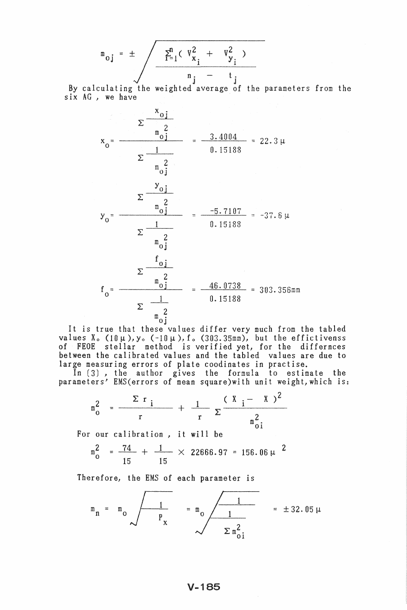$$
m_{oj} = \pm \sqrt{\frac{\sum_{i=1}^{n} (\sqrt{x}_{x_i}^2 + \sqrt{x}_{y_i}^2)}{n_j - t_j}}
$$

J J By calculating the weighted aver of the parameters from the six AG , we have



It is true that these values differ very much from the tabled values  $X_0$  (10 $\mu$ ), y<sub>o</sub> (-10 $\mu$ ), f<sub>o</sub> (303.35mm), but the effictivenss of FEOE stellar method is verified yet, for the differnces between the calibrated values and the tabled values are due to large measuring errors of plate coodinates in practise.

In (3) , the author gives the formula to estimate the parameters' EMS(errors of mean square)with unit weight,which is:

$$
m_0^2 = \frac{\sum r_i}{r} + \frac{1}{r} \sum \frac{(X_i - X)^2}{m_{0i}^2}
$$

For our calibration, it will be

$$
m_0^2 = \frac{74}{15} + \frac{1}{15} \times 22666.97 = 156.06 \mu^2
$$

Therefore, the EMS of each parameter is

$$
m_n = m_0 \sqrt{\frac{1}{P_x}} = m_0 \sqrt{\frac{1}{1 - \frac{1}{\sum m_{0i}^2}}}
$$
 = ± 32.05  $\mu$ 

## $V - 185$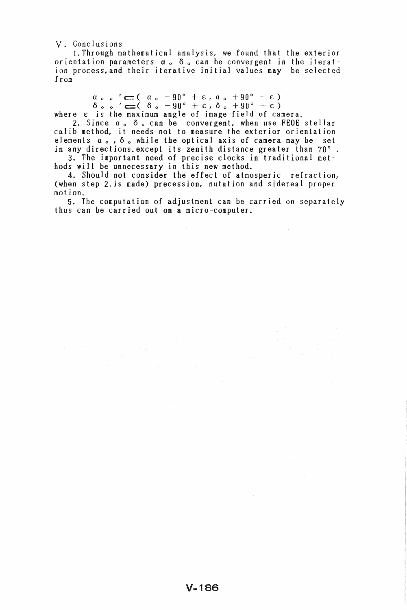v. Conclusions

1. Through mathematical analysis, we found that the exterior orientation parameters  $\alpha$  .  $\delta$  . can be convergent in the iteration process, and their iterative initial values may be selected from

 $\alpha \circ \circ' \leftarrow (\alpha \circ -90^{\circ} + \varepsilon, \alpha \circ +90^{\circ} - \varepsilon)$ <br>  $\delta \circ \circ' \leftarrow (\delta \circ -90^{\circ} + \varepsilon, \delta \circ +90^{\circ} - \varepsilon)$ 

where  $\varepsilon$  is the maximum angle of image field of camera.

2. Since  $\alpha_o$   $\delta_o$  can be convergent, when use FEOE stellar calib method, it needs not to measure the exterior orientation elements  $\alpha_o$ ,  $\delta_o$  while the optical axis of camera may be set in any directions. except its zenith distance greater than  $70^{\circ}$ . 3. The important need of precise clocks in traditional met-

hods will be unnecessary in this new method.

4. Should not consider the effect of atmosperic refraction, (when step 2. is made) precession, nutation and sidereal proper mot ion.

5. The computation of adjustment can be carried on separately thus can be carried out on a micro-computer.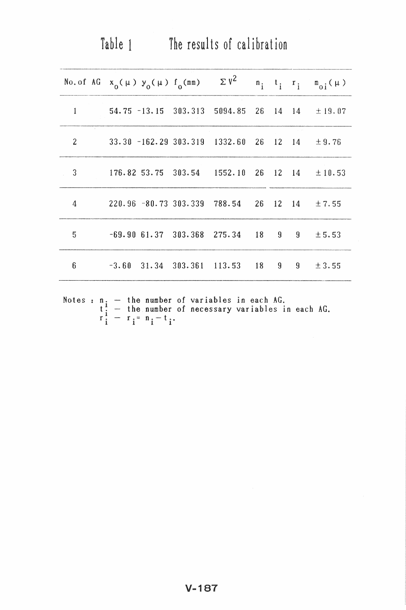|   | No. of AG $x_0(\mu)$ $y_0(\mu)$ $f_0(mn)$          |  | $\sum$ $v^2$                                       |  |         | $n_i$ , $t_i$ , $r_i$ , $m_{0i}$ ( $\mu$ ) |
|---|----------------------------------------------------|--|----------------------------------------------------|--|---------|--------------------------------------------|
| 1 |                                                    |  | 54.75 -13.15 303.313 5094.85 26 14 14 $\pm$ 19.07  |  |         |                                            |
| 2 |                                                    |  | $33.30 - 162.29 303.319 1332.60 26 12 14$          |  |         | ± 9.76                                     |
| 3 |                                                    |  | $176.82$ 53.75 303.54 1552.10 26 12 14 $\pm 10.53$ |  |         |                                            |
| 4 | $220.96$ -80.73 303.339 788.54 26 12 14 $\pm 7.55$ |  |                                                    |  |         |                                            |
| 5 | $-69.9061.37303.368275.3418$                       |  |                                                    |  | $9 \t9$ | ± 5.53                                     |
| 6 | $-3.60$ 31.34 303.361 113.53 18 9 9 ± 3.55         |  |                                                    |  |         |                                            |
|   |                                                    |  |                                                    |  |         |                                            |

Table 1 The results of calibration

Notes : n<sub>:</sub>  $t_i$ <br> $r_i$ the number of variables in each AG. the number of necessary variables in each AG.<br> $r_i = n_i - t_i$ . he number of<br>he number of<br>i<sup>= n</sup>i<sup>-t</sup>i·